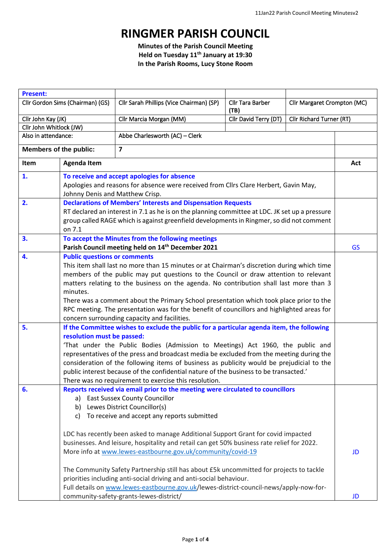## **RINGMER PARISH COUNCIL**

**Minutes of the Parish Council Meeting Held on Tuesday 11 th January at 19:30 In the Parish Rooms, Lucy Stone Room**

| <b>Present:</b>                  |                                                                                                                                                                                                                                                                                                                                                                                                                                                                                                                                                                          |                                                                                                                                                                                                                                                                                                                                                                                                                                                                                                            |                          |                             |           |
|----------------------------------|--------------------------------------------------------------------------------------------------------------------------------------------------------------------------------------------------------------------------------------------------------------------------------------------------------------------------------------------------------------------------------------------------------------------------------------------------------------------------------------------------------------------------------------------------------------------------|------------------------------------------------------------------------------------------------------------------------------------------------------------------------------------------------------------------------------------------------------------------------------------------------------------------------------------------------------------------------------------------------------------------------------------------------------------------------------------------------------------|--------------------------|-----------------------------|-----------|
| Cllr Gordon Sims (Chairman) (GS) |                                                                                                                                                                                                                                                                                                                                                                                                                                                                                                                                                                          | Cllr Sarah Phillips (Vice Chairman) (SP)                                                                                                                                                                                                                                                                                                                                                                                                                                                                   | Cllr Tara Barber<br>(TB) | Cllr Margaret Crompton (MC) |           |
| Cllr John Kay (JK)               |                                                                                                                                                                                                                                                                                                                                                                                                                                                                                                                                                                          | Cllr Marcia Morgan (MM)                                                                                                                                                                                                                                                                                                                                                                                                                                                                                    | Cllr David Terry (DT)    | Cllr Richard Turner (RT)    |           |
| Cllr John Whitlock (JW)          |                                                                                                                                                                                                                                                                                                                                                                                                                                                                                                                                                                          |                                                                                                                                                                                                                                                                                                                                                                                                                                                                                                            |                          |                             |           |
| Also in attendance:              |                                                                                                                                                                                                                                                                                                                                                                                                                                                                                                                                                                          | Abbe Charlesworth (AC) - Clerk                                                                                                                                                                                                                                                                                                                                                                                                                                                                             |                          |                             |           |
| <b>Members of the public:</b>    |                                                                                                                                                                                                                                                                                                                                                                                                                                                                                                                                                                          | $\overline{\mathbf{z}}$                                                                                                                                                                                                                                                                                                                                                                                                                                                                                    |                          |                             |           |
| Item                             | <b>Agenda Item</b>                                                                                                                                                                                                                                                                                                                                                                                                                                                                                                                                                       |                                                                                                                                                                                                                                                                                                                                                                                                                                                                                                            |                          |                             | Act       |
| 1.                               | To receive and accept apologies for absence<br>Apologies and reasons for absence were received from Cllrs Clare Herbert, Gavin May,<br>Johnny Denis and Matthew Crisp.                                                                                                                                                                                                                                                                                                                                                                                                   |                                                                                                                                                                                                                                                                                                                                                                                                                                                                                                            |                          |                             |           |
| 2.                               | <b>Declarations of Members' Interests and Dispensation Requests</b><br>RT declared an interest in 7.1 as he is on the planning committee at LDC. JK set up a pressure<br>group called RAGE which is against greenfield developments in Ringmer, so did not comment<br>on 7.1                                                                                                                                                                                                                                                                                             |                                                                                                                                                                                                                                                                                                                                                                                                                                                                                                            |                          |                             |           |
| 3.                               |                                                                                                                                                                                                                                                                                                                                                                                                                                                                                                                                                                          | To accept the Minutes from the following meetings<br>Parish Council meeting held on 14 <sup>th</sup> December 2021                                                                                                                                                                                                                                                                                                                                                                                         |                          |                             | <b>GS</b> |
| 4.                               | <b>Public questions or comments</b><br>This item shall last no more than 15 minutes or at Chairman's discretion during which time<br>members of the public may put questions to the Council or draw attention to relevant<br>matters relating to the business on the agenda. No contribution shall last more than 3<br>minutes.<br>There was a comment about the Primary School presentation which took place prior to the<br>RPC meeting. The presentation was for the benefit of councillors and highlighted areas for<br>concern surrounding capacity and facilities. |                                                                                                                                                                                                                                                                                                                                                                                                                                                                                                            |                          |                             |           |
| 5.                               | If the Committee wishes to exclude the public for a particular agenda item, the following<br>resolution must be passed:<br>'That under the Public Bodies (Admission to Meetings) Act 1960, the public and<br>representatives of the press and broadcast media be excluded from the meeting during the<br>consideration of the following items of business as publicity would be prejudicial to the<br>public interest because of the confidential nature of the business to be transacted.'<br>There was no requirement to exercise this resolution.                     |                                                                                                                                                                                                                                                                                                                                                                                                                                                                                                            |                          |                             |           |
| 6.                               | a)<br>b)<br>C)                                                                                                                                                                                                                                                                                                                                                                                                                                                                                                                                                           | Reports received via email prior to the meeting were circulated to councillors<br><b>East Sussex County Councillor</b><br>Lewes District Councillor(s)<br>To receive and accept any reports submitted                                                                                                                                                                                                                                                                                                      |                          |                             |           |
|                                  |                                                                                                                                                                                                                                                                                                                                                                                                                                                                                                                                                                          | LDC has recently been asked to manage Additional Support Grant for covid impacted<br>businesses. And leisure, hospitality and retail can get 50% business rate relief for 2022.<br>More info at www.lewes-eastbourne.gov.uk/community/covid-19<br>The Community Safety Partnership still has about £5k uncommitted for projects to tackle<br>priorities including anti-social driving and anti-social behaviour.<br>Full details on www.lewes-eastbourne.gov.uk/lewes-district-council-news/apply-now-for- |                          |                             | <b>JD</b> |
|                                  |                                                                                                                                                                                                                                                                                                                                                                                                                                                                                                                                                                          | community-safety-grants-lewes-district/                                                                                                                                                                                                                                                                                                                                                                                                                                                                    |                          |                             | JD        |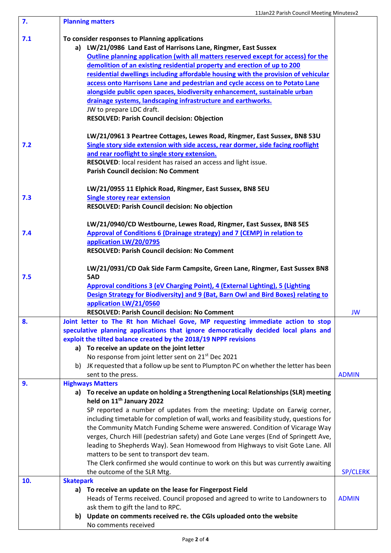| 7.  | <b>Planning matters</b>                                                                   |                 |  |
|-----|-------------------------------------------------------------------------------------------|-----------------|--|
| 7.1 | To consider responses to Planning applications                                            |                 |  |
|     | a) LW/21/0986 Land East of Harrisons Lane, Ringmer, East Sussex                           |                 |  |
|     | Outline planning application (with all matters reserved except for access) for the        |                 |  |
|     | demolition of an existing residential property and erection of up to 200                  |                 |  |
|     | residential dwellings including affordable housing with the provision of vehicular        |                 |  |
|     |                                                                                           |                 |  |
|     | access onto Harrisons Lane and pedestrian and cycle access on to Potato Lane              |                 |  |
|     | alongside public open spaces, biodiversity enhancement, sustainable urban                 |                 |  |
|     | drainage systems, landscaping infrastructure and earthworks.                              |                 |  |
|     | JW to prepare LDC draft.                                                                  |                 |  |
|     | <b>RESOLVED: Parish Council decision: Objection</b>                                       |                 |  |
|     | LW/21/0961 3 Peartree Cottages, Lewes Road, Ringmer, East Sussex, BN8 53U                 |                 |  |
| 7.2 | Single story side extension with side access, rear dormer, side facing rooflight          |                 |  |
|     | and rear rooflight to single story extension.                                             |                 |  |
|     | RESOLVED: local resident has raised an access and light issue.                            |                 |  |
|     | <b>Parish Council decision: No Comment</b>                                                |                 |  |
|     |                                                                                           |                 |  |
|     | LW/21/0955 11 Elphick Road, Ringmer, East Sussex, BN8 5EU                                 |                 |  |
| 7.3 | <b>Single storey rear extension</b>                                                       |                 |  |
|     | RESOLVED: Parish Council decision: No objection                                           |                 |  |
|     | LW/21/0940/CD Westbourne, Lewes Road, Ringmer, East Sussex, BN8 5ES                       |                 |  |
| 7.4 | Approval of Conditions 6 (Drainage strategy) and 7 (CEMP) in relation to                  |                 |  |
|     | application LW/20/0795                                                                    |                 |  |
|     | <b>RESOLVED: Parish Council decision: No Comment</b>                                      |                 |  |
|     |                                                                                           |                 |  |
|     | LW/21/0931/CD Oak Side Farm Campsite, Green Lane, Ringmer, East Sussex BN8                |                 |  |
| 7.5 | 5AD                                                                                       |                 |  |
|     | <b>Approval conditions 3 (eV Charging Point), 4 (External Lighting), 5 (Lighting</b>      |                 |  |
|     | Design Strategy for Biodiversity) and 9 (Bat, Barn Owl and Bird Boxes) relating to        |                 |  |
|     | application LW/21/0560                                                                    |                 |  |
|     | <b>RESOLVED: Parish Council decision: No Comment</b>                                      | <b>JW</b>       |  |
| 8.  | Joint letter to The Rt hon Michael Gove, MP requesting immediate action to stop           |                 |  |
|     | speculative planning applications that ignore democratically decided local plans and      |                 |  |
|     | exploit the tilted balance created by the 2018/19 NPPF revisions                          |                 |  |
|     | a) To receive an update on the joint letter                                               |                 |  |
|     | No response from joint letter sent on 21 <sup>st</sup> Dec 2021                           |                 |  |
|     | JK requested that a follow up be sent to Plumpton PC on whether the letter has been<br>b) |                 |  |
|     | sent to the press.                                                                        | <b>ADMIN</b>    |  |
| 9.  | <b>Highways Matters</b>                                                                   |                 |  |
|     | a) To receive an update on holding a Strengthening Local Relationships (SLR) meeting      |                 |  |
|     | held on 11 <sup>th</sup> January 2022                                                     |                 |  |
|     | SP reported a number of updates from the meeting: Update on Earwig corner,                |                 |  |
|     | including timetable for completion of wall, works and feasibility study, questions for    |                 |  |
|     | the Community Match Funding Scheme were answered. Condition of Vicarage Way               |                 |  |
|     | verges, Church Hill (pedestrian safety) and Gote Lane verges (End of Springett Ave,       |                 |  |
|     | leading to Shepherds Way). Sean Homewood from Highways to visit Gote Lane. All            |                 |  |
|     | matters to be sent to transport dev team.                                                 |                 |  |
|     | The Clerk confirmed she would continue to work on this but was currently awaiting         |                 |  |
|     | the outcome of the SLR Mtg.                                                               | <b>SP/CLERK</b> |  |
| 10. | <b>Skatepark</b>                                                                          |                 |  |
|     | To receive an update on the lease for Fingerpost Field<br>a)                              |                 |  |
|     | Heads of Terms received. Council proposed and agreed to write to Landowners to            | <b>ADMIN</b>    |  |
|     | ask them to gift the land to RPC.                                                         |                 |  |
|     | b) Update on comments received re. the CGIs uploaded onto the website                     |                 |  |
|     | No comments received                                                                      |                 |  |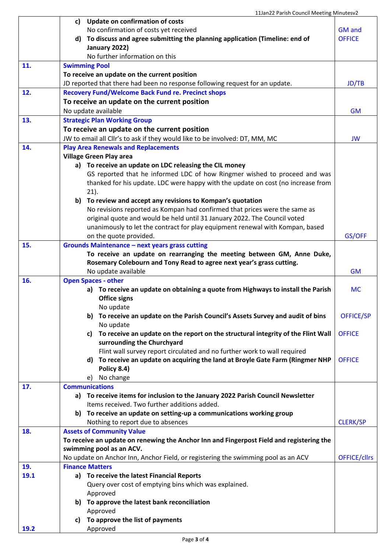|             | <b>Update on confirmation of costs</b><br>c)                                                     |                     |  |
|-------------|--------------------------------------------------------------------------------------------------|---------------------|--|
|             | No confirmation of costs yet received                                                            |                     |  |
|             | To discuss and agree submitting the planning application (Timeline: end of<br>d)                 |                     |  |
|             | January 2022)                                                                                    |                     |  |
|             | No further information on this                                                                   |                     |  |
| 11.         | <b>Swimming Pool</b>                                                                             |                     |  |
|             | To receive an update on the current position                                                     |                     |  |
|             | JD reported that there had been no response following request for an update.                     | JD/TB               |  |
| 12.         | <b>Recovery Fund/Welcome Back Fund re. Precinct shops</b>                                        |                     |  |
|             | To receive an update on the current position                                                     |                     |  |
|             | No update available                                                                              |                     |  |
| 13.         | <b>Strategic Plan Working Group</b>                                                              |                     |  |
|             | To receive an update on the current position                                                     |                     |  |
|             | JW to email all Cllr's to ask if they would like to be involved: DT, MM, MC                      |                     |  |
| 14.         | <b>Play Area Renewals and Replacements</b><br><b>Village Green Play area</b>                     |                     |  |
|             | a) To receive an update on LDC releasing the CIL money                                           |                     |  |
|             | GS reported that he informed LDC of how Ringmer wished to proceed and was                        |                     |  |
|             | thanked for his update. LDC were happy with the update on cost (no increase from                 |                     |  |
|             | $21$ ).                                                                                          |                     |  |
|             | To review and accept any revisions to Kompan's quotation<br>b)                                   |                     |  |
|             | No revisions reported as Kompan had confirmed that prices were the same as                       |                     |  |
|             | original quote and would be held until 31 January 2022. The Council voted                        |                     |  |
|             | unanimously to let the contract for play equipment renewal with Kompan, based                    |                     |  |
|             | on the quote provided.                                                                           | GS/OFF              |  |
| 15.         | <b>Grounds Maintenance - next years grass cutting</b>                                            |                     |  |
|             | To receive an update on rearranging the meeting between GM, Anne Duke,                           |                     |  |
|             | Rosemary Colebourn and Tony Read to agree next year's grass cutting.                             |                     |  |
|             | No update available                                                                              | <b>GM</b>           |  |
| 16.         | <b>Open Spaces - other</b>                                                                       |                     |  |
|             | a) To receive an update on obtaining a quote from Highways to install the Parish                 | <b>MC</b>           |  |
|             | <b>Office signs</b>                                                                              |                     |  |
|             | No update                                                                                        |                     |  |
|             | To receive an update on the Parish Council's Assets Survey and audit of bins<br>b)               | <b>OFFICE/SP</b>    |  |
|             | No update                                                                                        |                     |  |
|             | To receive an update on the report on the structural integrity of the Flint Wall<br>c)           | <b>OFFICE</b>       |  |
|             | surrounding the Churchyard                                                                       |                     |  |
|             | Flint wall survey report circulated and no further work to wall required                         | <b>OFFICE</b>       |  |
|             | To receive an update on acquiring the land at Broyle Gate Farm (Ringmer NHP<br>d)<br>Policy 8.4) |                     |  |
|             | No change<br>e)                                                                                  |                     |  |
| 17.         | <b>Communications</b>                                                                            |                     |  |
|             | To receive items for inclusion to the January 2022 Parish Council Newsletter<br>a)               |                     |  |
|             | Items received. Two further additions added.                                                     |                     |  |
|             | To receive an update on setting-up a communications working group<br>b)                          |                     |  |
|             | Nothing to report due to absences                                                                | <b>CLERK/SP</b>     |  |
| 18.         | <b>Assets of Community Value</b>                                                                 |                     |  |
|             | To receive an update on renewing the Anchor Inn and Fingerpost Field and registering the         |                     |  |
|             | swimming pool as an ACV.                                                                         |                     |  |
|             | No update on Anchor Inn, Anchor Field, or registering the swimming pool as an ACV                | <b>OFFICE/cllrs</b> |  |
| 19.         | <b>Finance Matters</b>                                                                           |                     |  |
| 19.1        | a) To receive the latest Financial Reports                                                       |                     |  |
|             | Query over cost of emptying bins which was explained.                                            |                     |  |
|             | Approved                                                                                         |                     |  |
|             | To approve the latest bank reconciliation<br>b)                                                  |                     |  |
|             | Approved                                                                                         |                     |  |
|             | To approve the list of payments<br>C)                                                            |                     |  |
| <b>19.2</b> | Approved                                                                                         |                     |  |